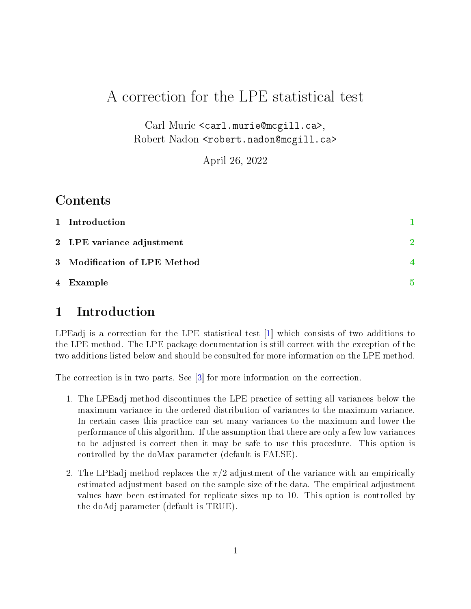# A correction for the LPE statistical test

Carl Murie <carl.murie@mcgill.ca>, Robert Nadon <robert.nadon@mcgill.ca>

April 26, 2022

## Contents

| 1 Introduction               |                          |
|------------------------------|--------------------------|
| 2 LPE variance adjustment    | $\mathcal{D}$            |
| 3 Modification of LPE Method | $\overline{\mathcal{A}}$ |
| 4 Example                    | 5                        |

# <span id="page-0-0"></span>1 Introduction

LPEadj is a correction for the LPE statistical test [\[1\]](#page-5-0) which consists of two additions to the LPE method. The LPE package documentation is still correct with the exception of the two additions listed below and should be consulted for more information on the LPE method.

The correction is in two parts. See [\[3\]](#page-5-1) for more information on the correction.

- 1. The LPEadj method discontinues the LPE practice of setting all variances below the maximum variance in the ordered distribution of variances to the maximum variance. In certain cases this practice can set many variances to the maximum and lower the performance of this algorithm. If the assumption that there are only a few low variances to be adjusted is correct then it may be safe to use this procedure. This option is controlled by the doMax parameter (default is FALSE).
- 2. The LPEadj method replaces the  $\pi/2$  adjustment of the variance with an empirically estimated adjustment based on the sample size of the data. The empirical adjustment values have been estimated for replicate sizes up to 10. This option is controlled by the doAdj parameter (default is TRUE).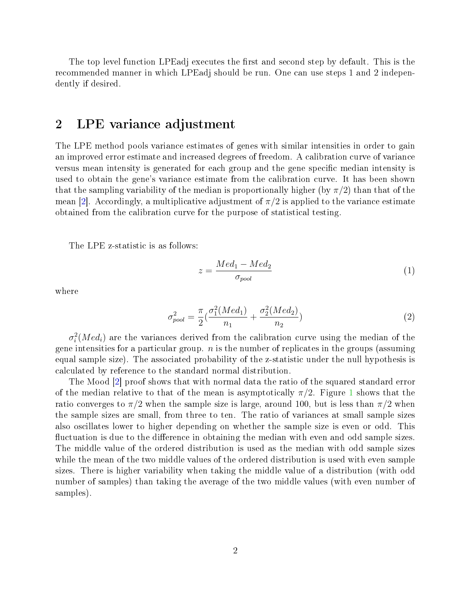The top level function LPEadj executes the first and second step by default. This is the recommended manner in which LPEadj should be run. One can use steps 1 and 2 independently if desired.

### <span id="page-1-0"></span>2 LPE variance adjustment

The LPE method pools variance estimates of genes with similar intensities in order to gain an improved error estimate and increased degrees of freedom. A calibration curve of variance versus mean intensity is generated for each group and the gene specific median intensity is used to obtain the gene's variance estimate from the calibration curve. It has been shown that the sampling variability of the median is proportionally higher (by  $\pi/2$ ) than that of the mean [\[2\]](#page-5-2). Accordingly, a multiplicative adjustment of  $\pi/2$  is applied to the variance estimate obtained from the calibration curve for the purpose of statistical testing.

The LPE z-statistic is as follows:

$$
z = \frac{Med_1 - Med_2}{\sigma_{pool}} \tag{1}
$$

where

$$
\sigma_{pool}^2 = \frac{\pi}{2} \left( \frac{\sigma_1^2 (Med_1)}{n_1} + \frac{\sigma_2^2 (Med_2)}{n_2} \right)
$$
\n(2)

 $\sigma_i^2(Med_i)$  are the variances derived from the calibration curve using the median of the gene intensities for a particular group.  $n$  is the number of replicates in the groups (assuming equal sample size). The associated probability of the z-statistic under the null hypothesis is calculated by reference to the standard normal distribution.

The Mood [\[2\]](#page-5-2) proof shows that with normal data the ratio of the squared standard error of the median relative to that of the mean is asymptotically  $\pi/2$ . Figure [1](#page-2-0) shows that the ratio converges to  $\pi/2$  when the sample size is large, around 100, but is less than  $\pi/2$  when the sample sizes are small, from three to ten. The ratio of variances at small sample sizes also oscillates lower to higher depending on whether the sample size is even or odd. This fluctuation is due to the difference in obtaining the median with even and odd sample sizes. The middle value of the ordered distribution is used as the median with odd sample sizes while the mean of the two middle values of the ordered distribution is used with even sample sizes. There is higher variability when taking the middle value of a distribution (with odd number of samples) than taking the average of the two middle values (with even number of samples).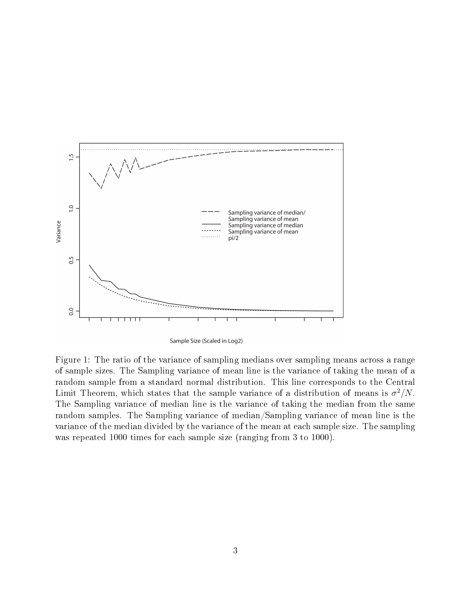

Sample Size (Scaled in Log2)

<span id="page-2-0"></span>Figure 1: The ratio of the variance of sampling medians over sampling means across a range of sample sizes. The Sampling variance of mean line is the variance of taking the mean of a random sample from a standard normal distribution. This line corresponds to the Central Limit Theorem, which states that the sample variance of a distribution of means is  $\sigma^2/N$ . The Sampling variance of median line is the variance of taking the median from the same random samples. The Sampling variance of median/Sampling variance of mean line is the variance of the median divided by the variance of the mean at each sample size. The sampling was repeated 1000 times for each sample size (ranging from 3 to 1000).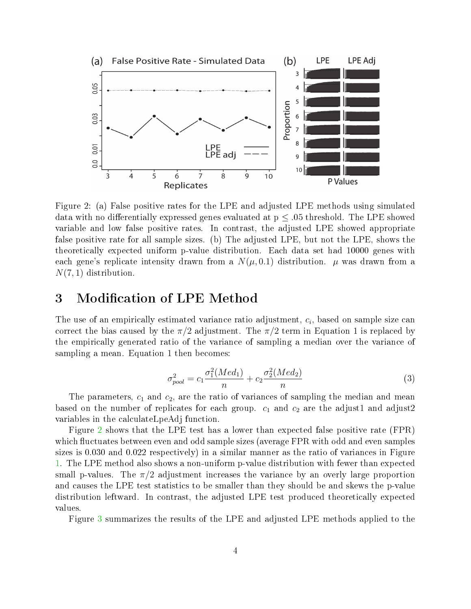

<span id="page-3-1"></span>Figure 2: (a) False positive rates for the LPE and adjusted LPE methods using simulated data with no differentially expressed genes evaluated at  $p \leq .05$  threshold. The LPE showed variable and low false positive rates. In contrast, the adjusted LPE showed appropriate false positive rate for all sample sizes. (b) The adjusted LPE, but not the LPE, shows the theoretically expected uniform p-value distribution. Each data set had 10000 genes with each gene's replicate intensity drawn from a  $N(\mu, 0.1)$  distribution.  $\mu$  was drawn from a  $N(7, 1)$  distribution.

#### <span id="page-3-0"></span>3 Modification of LPE Method

The use of an empirically estimated variance ratio adjustment,  $c_i$ , based on sample size can correct the bias caused by the  $\pi/2$  adjustment. The  $\pi/2$  term in Equation 1 is replaced by the empirically generated ratio of the variance of sampling a median over the variance of sampling a mean. Equation 1 then becomes:

$$
\sigma_{pool}^2 = c_1 \frac{\sigma_1^2 (Med_1)}{n} + c_2 \frac{\sigma_2^2 (Med_2)}{n}
$$
\n(3)

The parameters,  $c_1$  and  $c_2$ , are the ratio of variances of sampling the median and mean based on the number of replicates for each group.  $c_1$  and  $c_2$  are the adjust1 and adjust2 variables in the calculateLpeAdj function.

Figure [2](#page-3-1) shows that the LPE test has a lower than expected false positive rate (FPR) which fluctuates between even and odd sample sizes (average FPR with odd and even samples sizes is 0.030 and 0.022 respectively) in a similar manner as the ratio of variances in Figure [1.](#page-2-0) The LPE method also shows a non-uniform p-value distribution with fewer than expected small p-values. The  $\pi/2$  adjustment increases the variance by an overly large proportion and causes the LPE test statistics to be smaller than they should be and skews the p-value distribution leftward. In contrast, the adjusted LPE test produced theoretically expected values.

Figure [3](#page-4-1) summarizes the results of the LPE and adjusted LPE methods applied to the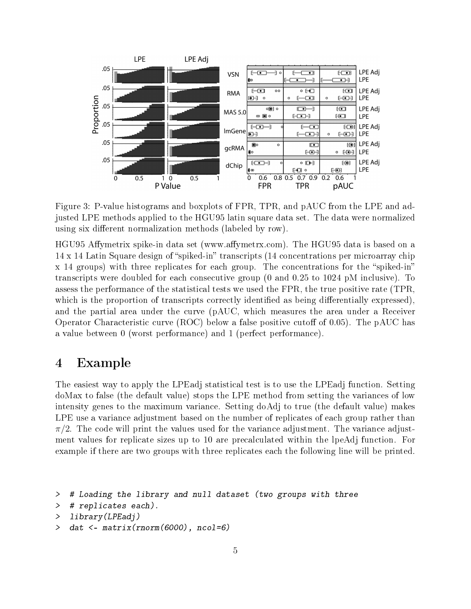

<span id="page-4-1"></span>Figure 3: P-value histograms and boxplots of FPR, TPR, and pAUC from the LPE and adjusted LPE methods applied to the HGU95 latin square data set. The data were normalized using six different normalization methods (labeled by row).

HGU95 Affymetrix spike-in data set (www.affymetrx.com). The HGU95 data is based on a  $14 \times 14$  Latin Square design of "spiked-in" transcripts (14 concentrations per microarray chip  $x \neq 14$  groups) with three replicates for each group. The concentrations for the "spiked-in" transcripts were doubled for each consecutive group (0 and 0.25 to 1024 pM inclusive). To assess the performance of the statistical tests we used the FPR, the true positive rate (TPR, which is the proportion of transcripts correctly identified as being differentially expressed). and the partial area under the curve (pAUC, which measures the area under a Receiver Operator Characteristic curve  $(ROC)$  below a false positive cutoff of 0.05). The pAUC has a value between 0 (worst performance) and 1 (perfect performance).

#### <span id="page-4-0"></span>4 Example

The easiest way to apply the LPEadj statistical test is to use the LPEadj function. Setting doMax to false (the default value) stops the LPE method from setting the variances of low intensity genes to the maximum variance. Setting doAdj to true (the default value) makes LPE use a variance adjustment based on the number of replicates of each group rather than  $\pi/2$ . The code will print the values used for the variance adjustment. The variance adjustment values for replicate sizes up to 10 are precalculated within the lpeAdj function. For example if there are two groups with three replicates each the following line will be printed.

```
> # Loading the library and null dataset (two groups with three
```

```
> # replicates each).
```

```
> library(LPEadj)
```

```
> dat <- matrix(rnorm(6000), ncol=6)
```